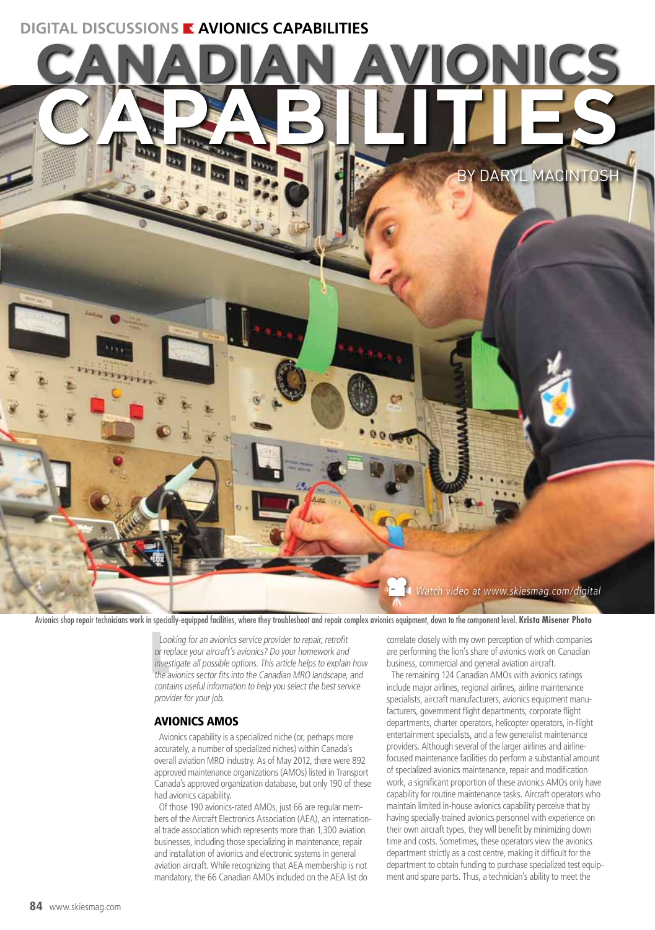# **DIGITAL DISCUSSIONS E AVIONICS CAPABILITIES**



Avionics shop repair technicians work in specially-equipped facilities, where they troubleshoot and repair complex avionics equipment, down to the component level. **Krista Misener Photo**

Loc<br>
or re<br>
inves<br>
the a Looking for an avionics service provider to repair, retrofit or replace your aircraft's avionics? Do your homework and investigate all possible options. This article helps to explain how the avionics sector fits into the Canadian MRO landscape, and contains useful information to help you select the best service provider for your job.

# AVIONICS AMOS

Avionics capability is a specialized niche (or, perhaps more accurately, a number of specialized niches) within Canada's overall aviation MRO industry. As of May 2012, there were 892 approved maintenance organizations (AMOs) listed in Transport Canada's approved organization database, but only 190 of these had avionics capability.

Of those 190 avionics-rated AMOs, just 66 are regular members of the Aircraft Electronics Association (AEA), an international trade association which represents more than 1,300 aviation businesses, including those specializing in maintenance, repair and installation of avionics and electronic systems in general aviation aircraft. While recognizing that AEA membership is not mandatory, the 66 Canadian AMOs included on the AEA list do

correlate closely with my own perception of which companies are performing the lion's share of avionics work on Canadian business, commercial and general aviation aircraft.

The remaining 124 Canadian AMOs with avionics ratings include major airlines, regional airlines, airline maintenance specialists, aircraft manufacturers, avionics equipment manufacturers, government flight departments, corporate flight departments, charter operators, helicopter operators, in-flight entertainment specialists, and a few generalist maintenance providers. Although several of the larger airlines and airlinefocused maintenance facilities do perform a substantial amount of specialized avionics maintenance, repair and modification work, a significant proportion of these avionics AMOs only have capability for routine maintenance tasks. Aircraft operators who maintain limited in-house avionics capability perceive that by having specially-trained avionics personnel with experience on their own aircraft types, they will benefit by minimizing down time and costs. Sometimes, these operators view the avionics department strictly as a cost centre, making it difficult for the department to obtain funding to purchase specialized test equipment and spare parts. Thus, a technician's ability to meet the